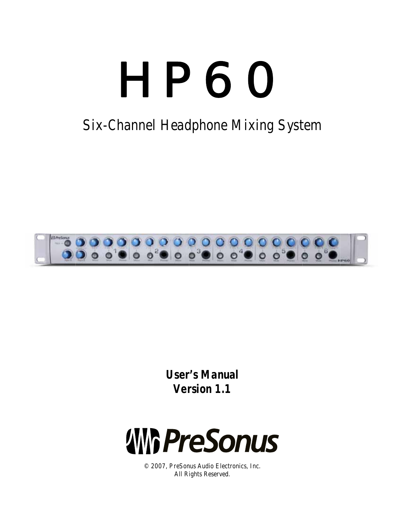

# Six-Channel Headphone Mixing System



**User's Manual** Version 1.1



© 2007, PreSonus Audio Electronics, Inc. All Rights Reserved.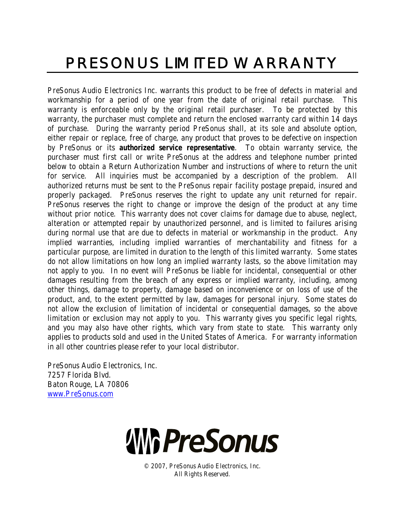# PRESONUS LIMITED WARRANTY

PreSonus Audio Electronics Inc. warrants this product to be free of defects in material and workmanship for a period of one year from the date of original retail purchase. This warranty is enforceable only by the original retail purchaser. To be protected by this warranty, the purchaser must complete and return the enclosed warranty card within 14 days of purchase. During the warranty period PreSonus shall, at its sole and absolute option, either repair or replace, free of charge, any product that proves to be defective on inspection by PreSonus or its **authorized service representative**. To obtain warranty service, the purchaser must first call or write PreSonus at the address and telephone number printed below to obtain a Return Authorization Number and instructions of where to return the unit for service. All inquiries must be accompanied by a description of the problem. All authorized returns must be sent to the PreSonus repair facility postage prepaid, insured and properly packaged. PreSonus reserves the right to update any unit returned for repair. PreSonus reserves the right to change or improve the design of the product at any time without prior notice. This warranty does not cover claims for damage due to abuse, neglect, alteration or attempted repair by unauthorized personnel, and is limited to failures arising during normal use that are due to defects in material or workmanship in the product. Any implied warranties, including implied warranties of merchantability and fitness for a particular purpose, are limited in duration to the length of this limited warranty. Some states do not allow limitations on how long an implied warranty lasts, so the above limitation may not apply to you. In no event will PreSonus be liable for incidental, consequential or other damages resulting from the breach of any express or implied warranty, including, among other things, damage to property, damage based on inconvenience or on loss of use of the product, and, to the extent permitted by law, damages for personal injury. Some states do not allow the exclusion of limitation of incidental or consequential damages, so the above limitation or exclusion may not apply to you. This warranty gives you specific legal rights, and you may also have other rights, which vary from state to state. This warranty only applies to products sold and used in the United States of America. For warranty information in all other countries please refer to your local distributor.

PreSonus Audio Electronics, Inc. 7257 Florida Blvd. Baton Rouge, LA 70806 www.PreSonus.com



© 2007, PreSonus Audio Electronics, Inc. All Rights Reserved.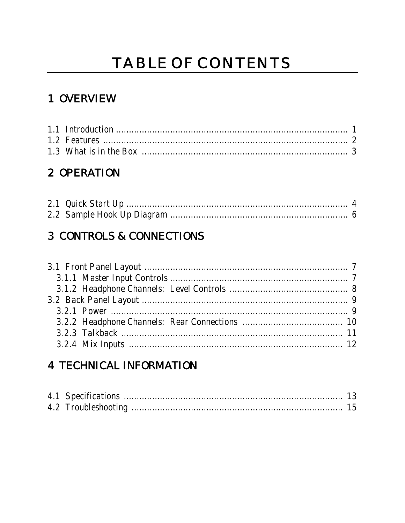# TABLE OF CONTENTS

## 1 OVERVIEW

## 2 OPERATION

## **3 CONTROLS & CONNECTIONS**

## **4 TECHNICAL INFORMATION**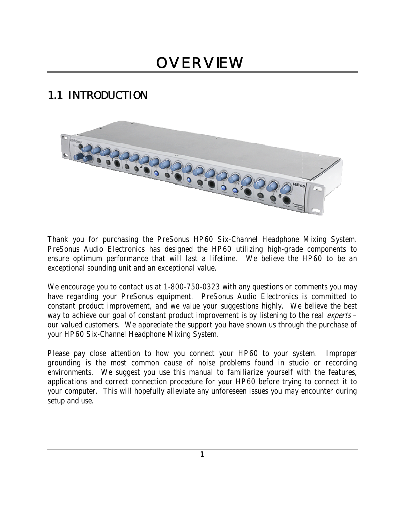# **OVERVIEW**

## **1.1 INTRODUCTION**



Thank you for purchasing the PreSonus HP60 Six-Channel Headphone Mixing System. PreSonus Audio Electronics has designed the HP60 utilizing high-grade components to ensure optimum performance that will last a lifetime. We believe the HP60 to be an exceptional sounding unit and an exceptional value.

We encourage you to contact us at 1-800-750-0323 with any questions or comments you may have regarding your PreSonus equipment. PreSonus Audio Electronics is committed to constant product improvement, and we value your suggestions highly. We believe the best way to achieve our goal of constant product improvement is by listening to the real experts our valued customers. We appreciate the support you have shown us through the purchase of your HP60 Six-Channel Headphone Mixing System.

Please pay close attention to how you connect your HP60 to your system. Improper grounding is the most common cause of noise problems found in studio or recording environments. We suggest you use this manual to familiarize yourself with the features, applications and correct connection procedure for your HP60 before trying to connect it to your computer. This will hopefully alleviate any unforeseen issues you may encounter during setup and use.

 $\mathbf{1}$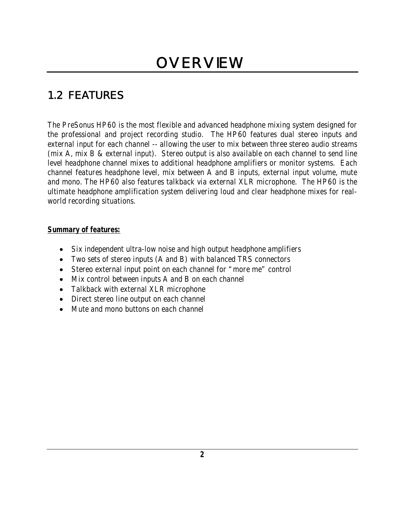## **1.2 FEATURES**

The PreSonus HP60 is the most flexible and advanced headphone mixing system designed for the professional and project recording studio. The HP60 features dual stereo inputs and external input for each channel -- allowing the user to mix between three stereo audio streams (mix A, mix B & external input). Stereo output is also available on each channel to send line level headphone channel mixes to additional headphone amplifiers or monitor systems. Each channel features headphone level, mix between A and B inputs, external input volume, mute and mono. The HP60 also features talkback via external XLR microphone. The HP60 is the ultimate headphone amplification system delivering loud and clear headphone mixes for realworld recording situations.

#### **Summary of features:**

- Six independent ultra-low noise and high output headphone amplifiers
- Two sets of stereo inputs (A and B) with balanced TRS connectors
- Stereo external input point on each channel for "more me" control
- Mix control between inputs A and B on each channel
- Talkback with external XLR microphone
- Direct stereo line output on each channel
- Mute and mono buttons on each channel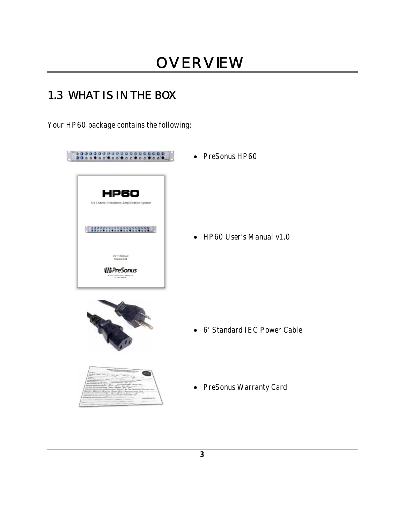## 1.3 WHAT IS IN THE BOX

Your HP60 package contains the following:

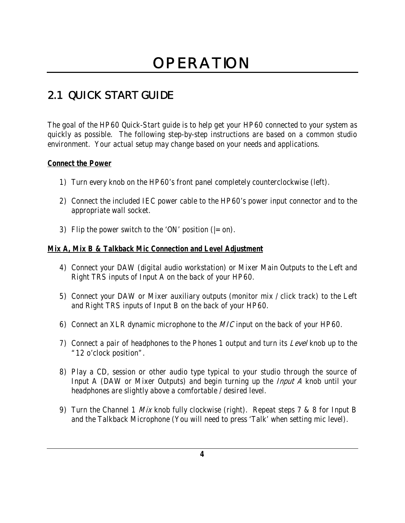## **2.1 QUICK START GUIDE**

The goal of the HP60 Quick-Start guide is to help get your HP60 connected to your system as quickly as possible. The following step-by-step instructions are based on a common studio environment. Your actual setup may change based on your needs and applications.

#### **Connect the Power**

- 1) Turn every knob on the HP60's front panel completely counterclockwise (left).
- 2) Connect the included IEC power cable to the HP60's power input connector and to the appropriate wall socket.
- 3) Flip the power switch to the 'ON' position ( $=$  on).

#### **Mix A, Mix B & Talkback Mic Connection and Level Adjustment**

- 4) Connect your DAW (digital audio workstation) or Mixer Main Outputs to the Left and Right TRS inputs of Input A on the back of your HP60.
- 5) Connect your DAW or Mixer auxiliary outputs (monitor mix / click track) to the Left and Right TRS inputs of Input B on the back of your HP60.
- 6) Connect an XLR dynamic microphone to the MIC input on the back of your HP60.
- 7) Connect a pair of headphones to the Phones 1 output and turn its  $Level$  knob up to the "12 o'clock position".
- 8) Play a CD, session or other audio type typical to your studio through the source of Input A (DAW or Mixer Outputs) and begin turning up the *Input A* knob until your headphones are slightly above a comfortable / desired level.
- 9) Turn the Channel 1 *Mix* knob fully clockwise (right). Repeat steps 7 & 8 for Input B and the Talkback Microphone (You will need to press 'Talk' when setting mic level).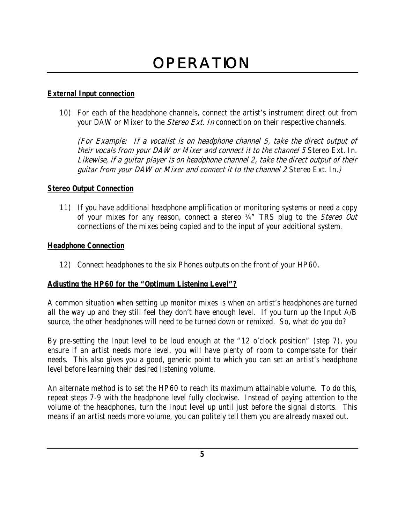# **OPERATION**

#### **External Input connection**

10) For each of the headphone channels, connect the artist's instrument direct out from your DAW or Mixer to the *Stereo Ext. In* connection on their respective channels.

(For Example: If a vocalist is on headphone channel 5, take the direct output of their vocals from your DAW or Mixer and connect it to the channel 5 Stereo Ext. In. Likewise, if a guitar player is on headphone channel 2, take the direct output of their guitar from your DAW or Mixer and connect it to the channel 2 Stereo Ext. In.)

#### **Stereo Output Connection**

11) If you have additional headphone amplification or monitoring systems or need a copy of your mixes for any reason, connect a stereo 14" TRS plug to the Stereo Out connections of the mixes being copied and to the input of your additional system.

#### **Headphone Connection**

12) Connect headphones to the six Phones outputs on the front of your HP60.

#### **Adjusting the HP60 for the "Optimum Listening Level"?**

A common situation when setting up monitor mixes is when an artist's headphones are turned all the way up and they still feel they don't have enough level. If you turn up the Input A/B source, the other headphones will need to be turned down or remixed. So, what do you do?

By pre-setting the Input level to be loud enough at the "12 o'clock position" (step 7), you ensure if an artist needs more level, you will have plenty of room to compensate for their needs. This also gives you a good, generic point to which you can set an artist's headphone level before learning their desired listening volume.

An alternate method is to set the HP60 to reach its maximum attainable volume. To do this, repeat steps 7-9 with the headphone level fully clockwise. Instead of paying attention to the volume of the headphones, turn the Input level up until just before the signal distorts. This means if an artist needs more volume, you can politely tell them you are already maxed out.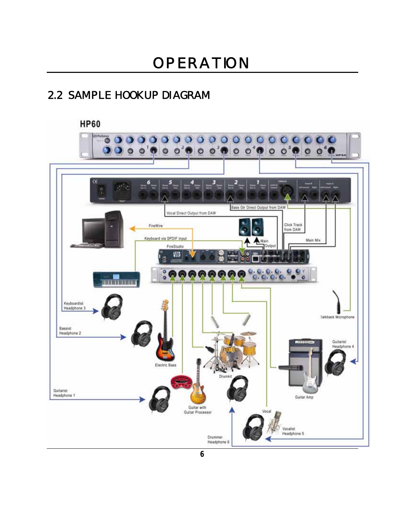## **2.2 SAMPLE HOOKUP DIAGRAM**

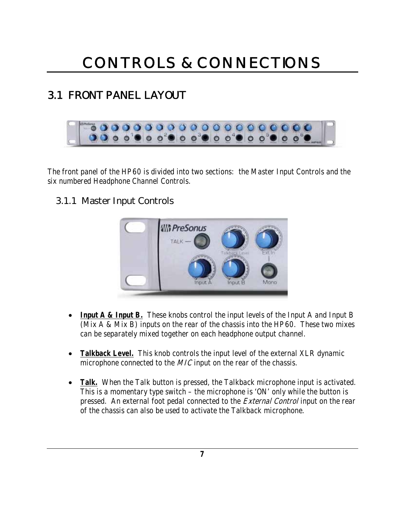## **3.1 FRONT PANEL LAYOUT**



The front panel of the HP60 is divided into two sections: the Master Input Controls and the six numbered Headphone Channel Controls.

### **3.1.1 Master Input Controls**



- **Input A & Input B.** These knobs control the input levels of the Input A and Input B (Mix A & Mix B) inputs on the rear of the chassis into the HP60. These two mixes can be separately mixed together on each headphone output channel.
- **Talkback Level.** This knob controls the input level of the external XLR dynamic microphone connected to the *MIC* input on the rear of the chassis.
- **Talk.** When the Talk button is pressed, the Talkback microphone input is activated. This is a momentary type switch – the microphone is 'ON' only while the button is pressed. An external foot pedal connected to the *External Control* input on the rear of the chassis can also be used to activate the Talkback microphone.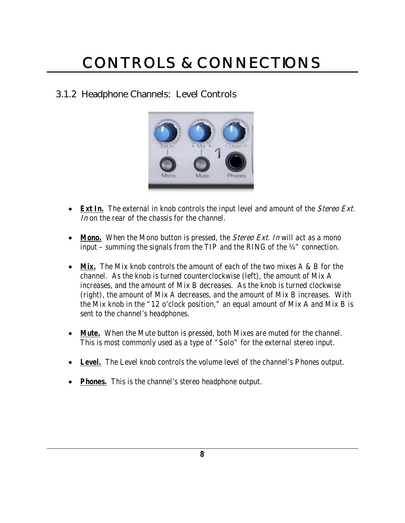### **3.1.2 Headphone Channels: Level Controls**



- **Ext In.** The external in knob controls the input level and amount of the *Stereo Ext.* In on the rear of the chassis for the channel.
- **Mono.** When the Mono button is pressed, the *Stereo Ext. In* will act as a mono input – summing the signals from the TIP and the RING of the ¼" connection.
- Mix. The Mix knob controls the amount of each of the two mixes A & B for the channel. As the knob is turned counterclockwise (left), the amount of Mix A increases, and the amount of Mix B decreases. As the knob is turned clockwise (right), the amount of Mix A decreases, and the amount of Mix B increases. With the Mix knob in the "12 o'clock position," an equal amount of Mix A and Mix B is sent to the channel's headphones.
- **Mute.** When the Mute button is pressed, both Mixes are muted for the channel. This is most commonly used as a type of "Solo" for the external stereo input.
- **Level.** The Level knob controls the volume level of the channel's Phones output.
- **Phones.** This is the channel's stereo headphone output.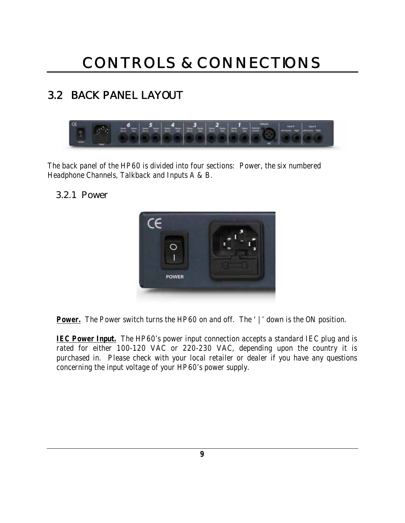## **3.2 BACK PANEL LAYOUT**



The back panel of the HP60 is divided into four sections: Power, the six numbered Headphone Channels, Talkback and Inputs A & B.

### **3.2.1 Power**



**Power.** The Power switch turns the HP60 on and off. The '|' down is the ON position.

**IEC Power Input.** The HP60's power input connection accepts a standard IEC plug and is rated for either 100-120 VAC or 220-230 VAC, depending upon the country it is purchased in. Please check with your local retailer or dealer if you have any questions concerning the input voltage of your HP60's power supply.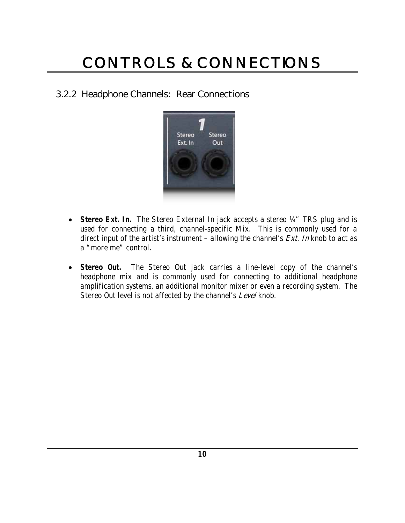### **3.2.2 Headphone Channels: Rear Connections**



- **Stereo Ext. In.** The Stereo External In jack accepts a stereo 1/4" TRS plug and is used for connecting a third, channel-specific Mix. This is commonly used for a direct input of the artist's instrument – allowing the channel's  $Ext$ . In knob to act as a "more me" control.
- **Stereo Out.** The Stereo Out jack carries a line-level copy of the channel's headphone mix and is commonly used for connecting to additional headphone amplification systems, an additional monitor mixer or even a recording system. The Stereo Out level is not affected by the channel's Level knob.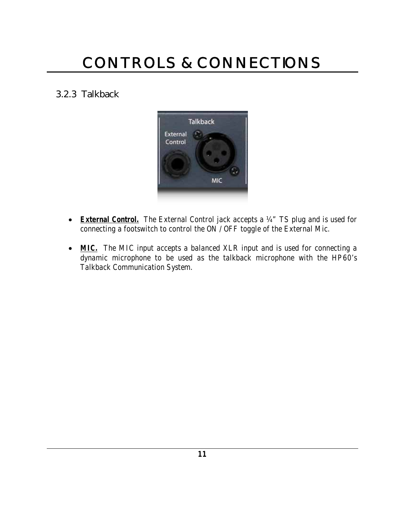### **3.2.3 Talkback**



- **External Control.** The External Control jack accepts a ¼" TS plug and is used for connecting a footswitch to control the ON / OFF toggle of the External Mic.
- **MIC.** The MIC input accepts a balanced XLR input and is used for connecting a dynamic microphone to be used as the talkback microphone with the HP60's Talkback Communication System.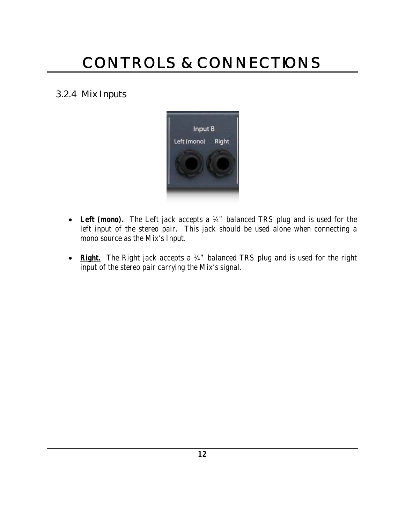### **3.2.4 Mix Inputs**



- Left (mono). The Left jack accepts a 14" balanced TRS plug and is used for the left input of the stereo pair. This jack should be used alone when connecting a mono source as the Mix's Input.
- **Right.** The Right jack accepts a 1/4" balanced TRS plug and is used for the right input of the stereo pair carrying the Mix's signal.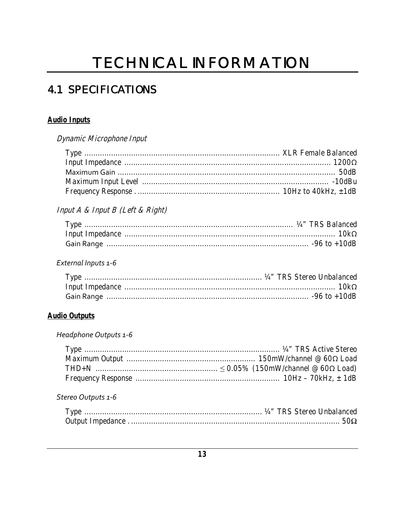# **TECHNICAL INFORMATION**

## **4.1 SPECIFICATIONS**

#### **Audio Inputs**

Dynamic Microphone Input

### Input A & Input B (Left & Right)

#### External Inputs 1-6

#### **Audio Outputs**

#### Headphone Outputs 1-6

#### Stereo Outputs 1-6

| Type |  |  |
|------|--|--|
|      |  |  |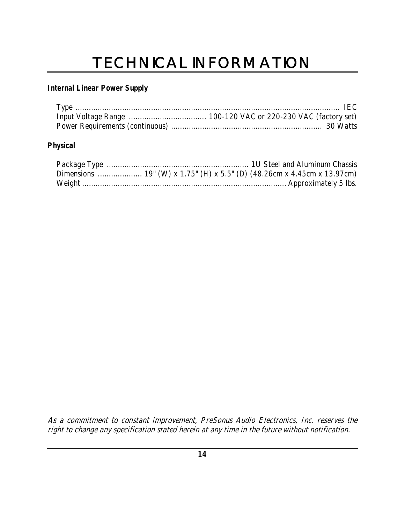# TECHNICAL INFORMATION

#### **Internal Linear Power Supply**

#### **Physical**

As a commitment to constant improvement, PreSonus Audio Electronics, Inc. reserves the right to change any specification stated herein at any time in the future without notification.